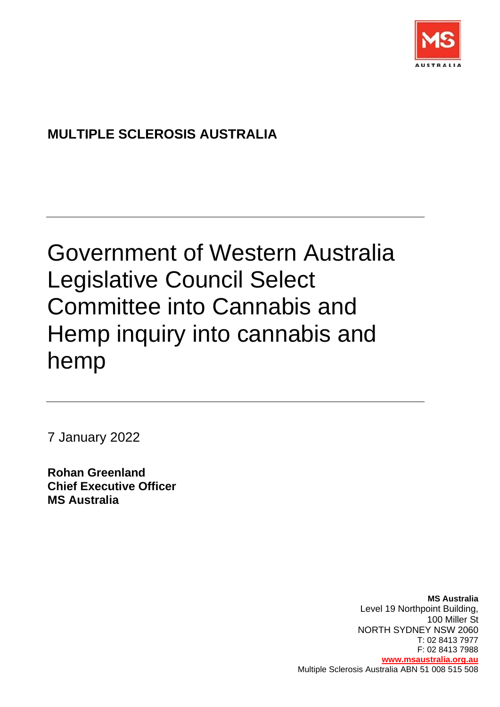

# **MULTIPLE SCLEROSIS AUSTRALIA**

# Government of Western Australia Legislative Council Select Committee into Cannabis and Hemp inquiry into cannabis and hemp

7 January 2022

**Rohan Greenland Chief Executive Officer MS Australia**

> **MS Australia**  Level 19 Northpoint Building, 100 Miller St NORTH SYDNEY NSW 2060 T: 02 8413 7977 F: 02 8413 7988 **[www.msaustralia.org.au](http://www.msaustralia.org.au/)** Multiple Sclerosis Australia ABN 51 008 515 508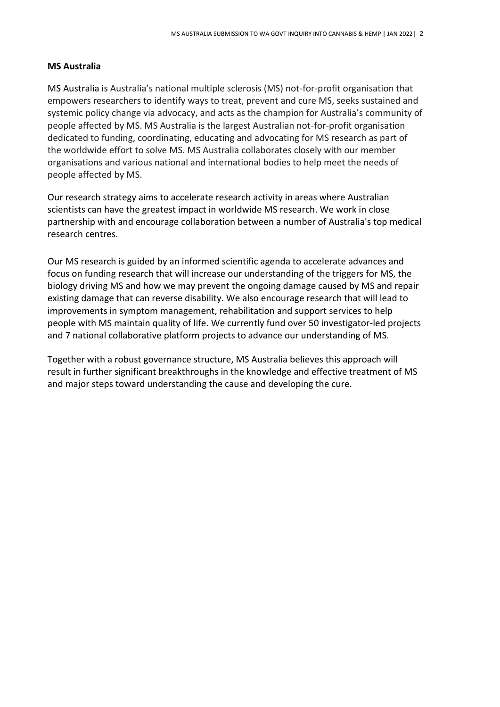#### **MS Australia**

MS Australia is Australia's national multiple sclerosis (MS) not-for-profit organisation that empowers researchers to identify ways to treat, prevent and cure MS, seeks sustained and systemic policy change via advocacy, and acts as the champion for Australia's community of people affected by MS. MS Australia is the largest Australian not-for-profit organisation dedicated to funding, coordinating, educating and advocating for MS research as part of the worldwide effort to solve MS. MS Australia collaborates closely with our member organisations and various national and international bodies to help meet the needs of people affected by MS.

Our research strategy aims to accelerate research activity in areas where Australian scientists can have the greatest impact in worldwide MS research. We work in close partnership with and encourage collaboration between a number of Australia's top medical research centres.

Our MS research is guided by an informed scientific agenda to accelerate advances and focus on funding research that will increase our understanding of the triggers for MS, the biology driving MS and how we may prevent the ongoing damage caused by MS and repair existing damage that can reverse disability. We also encourage research that will lead to improvements in symptom management, rehabilitation and support services to help people with MS maintain quality of life. We currently fund over 50 investigator-led projects and 7 national collaborative platform projects to advance our understanding of MS.

Together with a robust governance structure, MS Australia believes this approach will result in further significant breakthroughs in the knowledge and effective treatment of MS and major steps toward understanding the cause and developing the cure.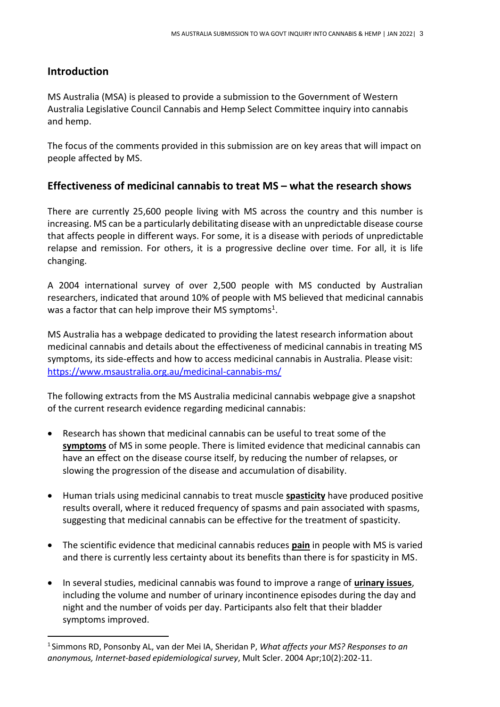# **Introduction**

MS Australia (MSA) is pleased to provide a submission to the Government of Western Australia Legislative Council Cannabis and Hemp Select Committee inquiry into cannabis and hemp.

The focus of the comments provided in this submission are on key areas that will impact on people affected by MS.

# **Effectiveness of medicinal cannabis to treat MS – what the research shows**

There are currently 25,600 people living with MS across the country and this number is increasing. MS can be a particularly debilitating disease with an unpredictable disease course that affects people in different ways. For some, it is a disease with periods of unpredictable relapse and remission. For others, it is a progressive decline over time. For all, it is life changing.

A 2004 international survey of over 2,500 people with MS conducted by Australian researchers, indicated that around 10% of people with MS believed that medicinal cannabis was a factor that can help improve their MS symptoms<sup>1</sup>.

MS Australia has a webpage dedicated to providing the latest research information about medicinal cannabis and details about the effectiveness of medicinal cannabis in treating MS symptoms, its side-effects and how to access medicinal cannabis in Australia. Please visit: <https://www.msaustralia.org.au/medicinal-cannabis-ms/>

The following extracts from the MS Australia medicinal cannabis webpage give a snapshot of the current research evidence regarding medicinal cannabis:

- Research has shown that medicinal cannabis can be useful to treat some of the **symptoms** of MS in some people. There is limited evidence that medicinal cannabis can have an effect on the disease course itself, by reducing the number of relapses, or slowing the progression of the disease and accumulation of disability.
- Human trials using medicinal cannabis to treat muscle **spasticity** have produced positive results overall, where it reduced frequency of spasms and pain associated with spasms, suggesting that medicinal cannabis can be effective for the treatment of spasticity.
- The scientific evidence that medicinal cannabis reduces **pain** in people with MS is varied and there is currently less certainty about its benefits than there is for spasticity in MS.
- In several studies, medicinal cannabis was found to improve a range of **urinary issues**, including the volume and number of urinary incontinence episodes during the day and night and the number of voids per day. Participants also felt that their bladder symptoms improved.

<sup>1</sup> [Simmons RD,](http://www.ncbi.nlm.nih.gov/pubmed/?term=Simmons%20RD%5BAuthor%5D&cauthor=true&cauthor_uid=15124768) [Ponsonby AL,](http://www.ncbi.nlm.nih.gov/pubmed/?term=Ponsonby%20AL%5BAuthor%5D&cauthor=true&cauthor_uid=15124768) [van der Mei IA,](http://www.ncbi.nlm.nih.gov/pubmed/?term=van%20der%20Mei%20IA%5BAuthor%5D&cauthor=true&cauthor_uid=15124768) [Sheridan P,](http://www.ncbi.nlm.nih.gov/pubmed/?term=Sheridan%20P%5BAuthor%5D&cauthor=true&cauthor_uid=15124768) *What affects your MS? Responses to an anonymous, Internet-based epidemiological survey*[, Mult Scler.](http://www.ncbi.nlm.nih.gov/pubmed/15124768) 2004 Apr;10(2):202-11.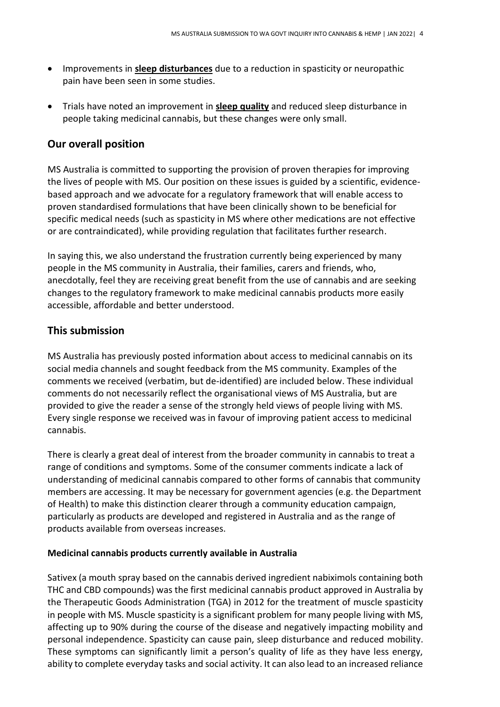- Improvements in **sleep disturbances** due to a reduction in spasticity or neuropathic pain have been seen in some studies.
- Trials have noted an improvement in **sleep quality** and reduced sleep disturbance in people taking medicinal cannabis, but these changes were only small.

# **Our overall position**

MS Australia is committed to supporting the provision of proven therapies for improving the lives of people with MS. Our position on these issues is guided by a scientific, evidencebased approach and we advocate for a regulatory framework that will enable access to proven standardised formulations that have been clinically shown to be beneficial for specific medical needs (such as spasticity in MS where other medications are not effective or are contraindicated), while providing regulation that facilitates further research.

In saying this, we also understand the frustration currently being experienced by many people in the MS community in Australia, their families, carers and friends, who, anecdotally, feel they are receiving great benefit from the use of cannabis and are seeking changes to the regulatory framework to make medicinal cannabis products more easily accessible, affordable and better understood.

# **This submission**

MS Australia has previously posted information about access to medicinal cannabis on its social media channels and sought feedback from the MS community. Examples of the comments we received (verbatim, but de-identified) are included below. These individual comments do not necessarily reflect the organisational views of MS Australia, but are provided to give the reader a sense of the strongly held views of people living with MS. Every single response we received was in favour of improving patient access to medicinal cannabis.

There is clearly a great deal of interest from the broader community in cannabis to treat a range of conditions and symptoms. Some of the consumer comments indicate a lack of understanding of medicinal cannabis compared to other forms of cannabis that community members are accessing. It may be necessary for government agencies (e.g. the Department of Health) to make this distinction clearer through a community education campaign, particularly as products are developed and registered in Australia and as the range of products available from overseas increases.

#### **Medicinal cannabis products currently available in Australia**

Sativex (a mouth spray based on the cannabis derived ingredient nabiximols containing both THC and CBD compounds) was the first medicinal cannabis product approved in Australia by the Therapeutic Goods Administration (TGA) in 2012 for the treatment of muscle spasticity in people with MS. Muscle spasticity is a significant problem for many people living with MS, affecting up to 90% during the course of the disease and negatively impacting mobility and personal independence. Spasticity can cause pain, sleep disturbance and reduced mobility. These symptoms can significantly limit a person's quality of life as they have less energy, ability to complete everyday tasks and social activity. It can also lead to an increased reliance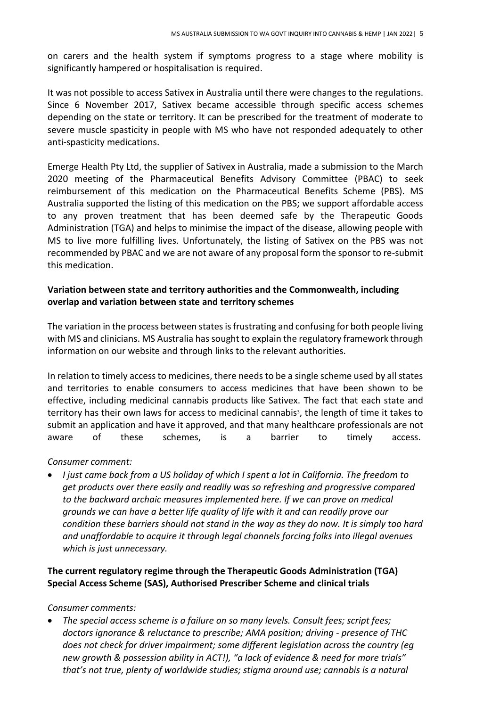on carers and the health system if symptoms progress to a stage where mobility is significantly hampered or hospitalisation is required.

It was not possible to access Sativex in Australia until there were changes to the regulations. Since 6 November 2017, Sativex became accessible through specific access schemes depending on the state or territory. It can be prescribed for the treatment of moderate to severe muscle spasticity in people with MS who have not responded adequately to other anti-spasticity medications.

Emerge Health Pty Ltd, the supplier of Sativex in Australia, made a submission to the March 2020 meeting of the Pharmaceutical Benefits Advisory Committee (PBAC) to seek reimbursement of this medication on the Pharmaceutical Benefits Scheme (PBS). MS Australia supported the listing of this medication on the PBS; we support affordable access to any proven treatment that has been deemed safe by the Therapeutic Goods Administration (TGA) and helps to minimise the impact of the disease, allowing people with MS to live more fulfilling lives. Unfortunately, the listing of Sativex on the PBS was not recommended by PBAC and we are not aware of any proposal form the sponsor to re-submit this medication.

#### **Variation between state and territory authorities and the Commonwealth, including overlap and variation between state and territory schemes**

The variation in the process between states is frustrating and confusing for both people living with MS and clinicians. MS Australia has sought to explain the regulatory framework through information on our website and through links to the relevant authorities.

In relation to timely access to medicines, there needs to be a single scheme used by all states and territories to enable consumers to access medicines that have been shown to be effective, including medicinal cannabis products like Sativex. The fact that each state and territory has their own laws for access to medicinal cannabis<sup>3</sup>, the length of time it takes to submit an application and have it approved, and that many healthcare professionals are not aware of these schemes, is a barrier to timely access.

*Consumer comment:*

• *I just came back from a US holiday of which I spent a lot in California. The freedom to get products over there easily and readily was so refreshing and progressive compared to the backward archaic measures implemented here. If we can prove on medical grounds we can have a better life quality of life with it and can readily prove our condition these barriers should not stand in the way as they do now. It is simply too hard and unaffordable to acquire it through legal channels forcing folks into illegal avenues which is just unnecessary.*

### **The current regulatory regime through the Therapeutic Goods Administration (TGA) Special Access Scheme (SAS), Authorised Prescriber Scheme and clinical trials**

#### *Consumer comments:*

• *The special access scheme is a failure on so many levels. Consult fees; script fees; doctors ignorance & reluctance to prescribe; AMA position; driving - presence of THC does not check for driver impairment; some different legislation across the country (eg new growth & possession ability in ACT!), "a lack of evidence & need for more trials" that's not true, plenty of worldwide studies; stigma around use; cannabis is a natural*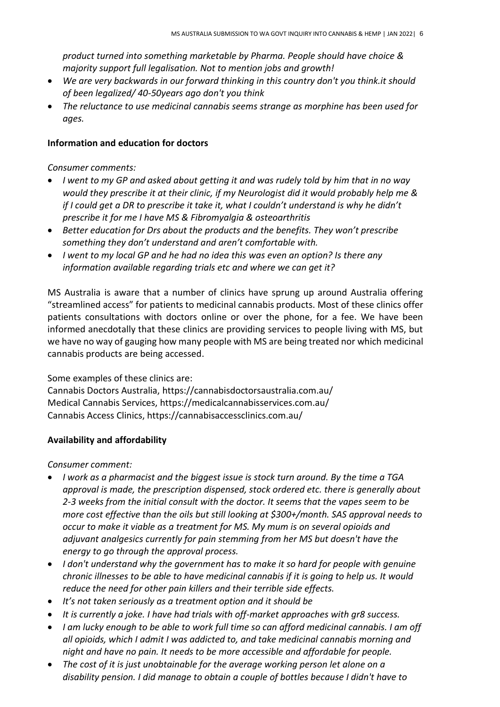*product turned into something marketable by Pharma. People should have choice & majority support full legalisation. Not to mention jobs and growth!*

- *We are very backwards in our forward thinking in this country don't you think.it should of been legalized/ 40-50years ago don't you think*
- *The reluctance to use medicinal cannabis seems strange as morphine has been used for ages.*

#### **Information and education for doctors**

*Consumer comments:*

- *I went to my GP and asked about getting it and was rudely told by him that in no way would they prescribe it at their clinic, if my Neurologist did it would probably help me & if I could get a DR to prescribe it take it, what I couldn't understand is why he didn't prescribe it for me I have MS & Fibromyalgia & osteoarthritis*
- *Better education for Drs about the products and the benefits. They won't prescribe something they don't understand and aren't comfortable with.*
- *I went to my local GP and he had no idea this was even an option? Is there any information available regarding trials etc and where we can get it?*

MS Australia is aware that a number of clinics have sprung up around Australia offering "streamlined access" for patients to medicinal cannabis products. Most of these clinics offer patients consultations with doctors online or over the phone, for a fee. We have been informed anecdotally that these clinics are providing services to people living with MS, but we have no way of gauging how many people with MS are being treated nor which medicinal cannabis products are being accessed.

Some examples of these clinics are:

Cannabis Doctors Australia,<https://cannabisdoctorsaustralia.com.au/> Medical Cannabis Services,<https://medicalcannabisservices.com.au/> Cannabis Access Clinics,<https://cannabisaccessclinics.com.au/>

#### **Availability and affordability**

*Consumer comment:*

- *I work as a pharmacist and the biggest issue is stock turn around. By the time a TGA approval is made, the prescription dispensed, stock ordered etc. there is generally about 2-3 weeks from the initial consult with the doctor. It seems that the vapes seem to be more cost effective than the oils but still looking at \$300+/month. SAS approval needs to occur to make it viable as a treatment for MS. My mum is on several opioids and adjuvant analgesics currently for pain stemming from her MS but doesn't have the energy to go through the approval process.*
- *I don't understand why the government has to make it so hard for people with genuine chronic illnesses to be able to have medicinal cannabis if it is going to help us. It would reduce the need for other pain killers and their terrible side effects.*
- *It's not taken seriously as a treatment option and it should be*
- *It is currently a joke. I have had trials with off-market approaches with gr8 success.*
- *I am lucky enough to be able to work full time so can afford medicinal cannabis. I am off all opioids, which I admit I was addicted to, and take medicinal cannabis morning and night and have no pain. It needs to be more accessible and affordable for people.*
- *The cost of it is just unobtainable for the average working person let alone on a disability pension. I did manage to obtain a couple of bottles because I didn't have to*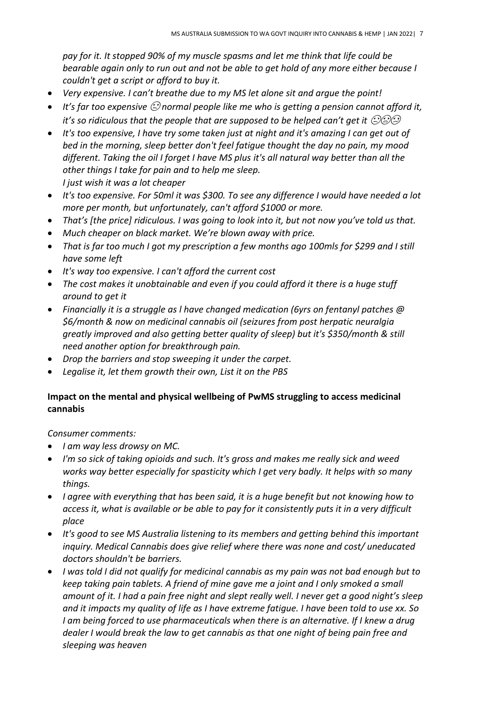*pay for it. It stopped 90% of my muscle spasms and let me think that life could be bearable again only to run out and not be able to get hold of any more either because I couldn't get a script or afford to buy it.*

- *Very expensive. I can't breathe due to my MS let alone sit and argue the point!*
- *It's far too expensive normal people like me who is getting a pension cannot afford it, it's so ridiculous that the people that are supposed to be helped can't get it*  $\oslash\oslash$
- *It's too expensive, I have try some taken just at night and it's amazing I can get out of bed in the morning, sleep better don't feel fatigue thought the day no pain, my mood different. Taking the oil I forget I have MS plus it's all natural way better than all the other things I take for pain and to help me sleep. I just wish it was a lot cheaper*
- *It's too expensive. For 50ml it was \$300. To see any difference I would have needed a lot more per month, but unfortunately, can't afford \$1000 or more.*
- *That's [the price] ridiculous. I was going to look into it, but not now you've told us that.*
- *Much cheaper on black market. We're blown away with price.*
- *That is far too much I got my prescription a few months ago 100mls for \$299 and I still have some left*
- *It's way too expensive. I can't afford the current cost*
- *The cost makes it unobtainable and even if you could afford it there is a huge stuff around to get it*
- *Financially it is a struggle as l have changed medication (6yrs on fentanyl patches @ \$6/month & now on medicinal cannabis oil (seizures from post herpatic neuralgia greatly improved and also getting better quality of sleep) but it's \$350/month & still need another option for breakthrough pain.*
- *Drop the barriers and stop sweeping it under the carpet.*
- *Legalise it, let them growth their own, List it on the PBS*

### **Impact on the mental and physical wellbeing of PwMS struggling to access medicinal cannabis**

*Consumer comments:*

- *I am way less drowsy on MC.*
- *I'm so sick of taking opioids and such. It's gross and makes me really sick and weed works way better especially for spasticity which I get very badly. It helps with so many things.*
- *I agree with everything that has been said, it is a huge benefit but not knowing how to access it, what is available or be able to pay for it consistently puts it in a very difficult place*
- *It's good to see MS Australia listening to its members and getting behind this important inquiry. Medical Cannabis does give relief where there was none and cost/ uneducated doctors shouldn't be barriers.*
- *I was told I did not qualify for medicinal cannabis as my pain was not bad enough but to keep taking pain tablets. A friend of mine gave me a joint and I only smoked a small amount of it. I had a pain free night and slept really well. I never get a good night's sleep and it impacts my quality of life as I have extreme fatigue. I have been told to use xx. So I* am being forced to use pharmaceuticals when there is an alternative. If I knew a drug *dealer I would break the law to get cannabis as that one night of being pain free and sleeping was heaven*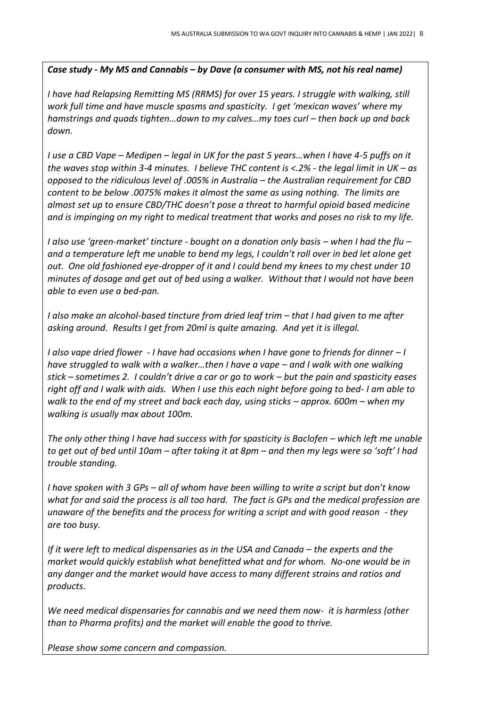*Case study - My MS and Cannabis – by Dave (a consumer with MS, not his real name)*

*I have had Relapsing Remitting MS (RRMS) for over 15 years. I struggle with walking, still work full time and have muscle spasms and spasticity. I get 'mexican waves' where my hamstrings and quads tighten…down to my calves…my toes curl – then back up and back down.*

*I use a CBD Vape – Medipen – legal in UK for the past 5 years…when I have 4-5 puffs on it the waves stop within 3-4 minutes. I believe THC content is <.2% - the legal limit in UK – as opposed to the ridiculous level of .005% in Australia – the Australian requirement for CBD content to be below .0075% makes it almost the same as using nothing. The limits are almost set up to ensure CBD/THC doesn't pose a threat to harmful opioid based medicine and is impinging on my right to medical treatment that works and poses no risk to my life.*

*I also use 'green-market' tincture - bought on a donation only basis – when I had the flu – and a temperature left me unable to bend my legs, I couldn't roll over in bed let alone get out. One old fashioned eye-dropper of it and I could bend my knees to my chest under 10 minutes of dosage and get out of bed using a walker. Without that I would not have been able to even use a bed-pan.*

*I* also make an alcohol-based tincture from dried leaf trim – that I had given to me after *asking around. Results I get from 20ml is quite amazing. And yet it is illegal.*

*I also vape dried flower - I have had occasions when I have gone to friends for dinner – I have struggled to walk with a walker…then I have a vape – and I walk with one walking stick – sometimes 2. I couldn't drive a car or go to work – but the pain and spasticity eases right off and I walk with aids. When I use this each night before going to bed- I am able to walk to the end of my street and back each day, using sticks – approx. 600m – when my walking is usually max about 100m.*

*The only other thing I have had success with for spasticity is Baclofen – which left me unable to get out of bed until 10am – after taking it at 8pm – and then my legs were so 'soft' I had trouble standing.*

*I have spoken with 3 GPs – all of whom have been willing to write a script but don't know what for and said the process is all too hard. The fact is GPs and the medical profession are unaware of the benefits and the process for writing a script and with good reason - they are too busy.*

*If it were left to medical dispensaries as in the USA and Canada – the experts and the market would quickly establish what benefitted what and for whom. No-one would be in any danger and the market would have access to many different strains and ratios and products.*

*We need medical dispensaries for cannabis and we need them now- it is harmless (other than to Pharma profits) and the market will enable the good to thrive.*

*Please show some concern and compassion.*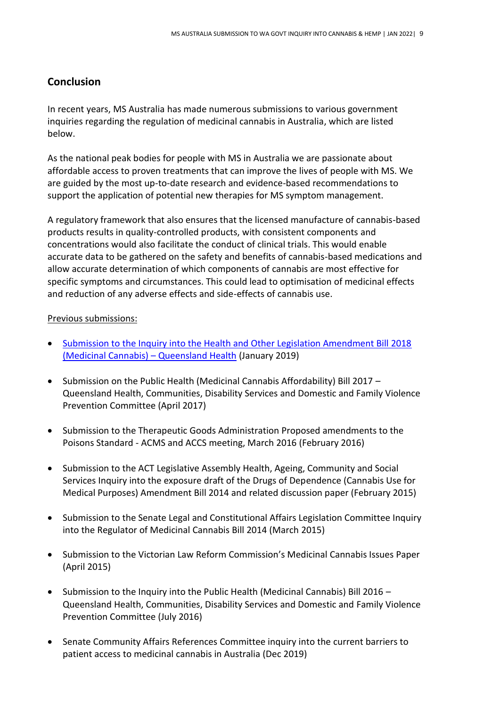# **Conclusion**

In recent years, MS Australia has made numerous submissions to various government inquiries regarding the regulation of medicinal cannabis in Australia, which are listed below.

As the national peak bodies for people with MS in Australia we are passionate about affordable access to proven treatments that can improve the lives of people with MS. We are guided by the most up-to-date research and evidence-based recommendations to support the application of potential new therapies for MS symptom management.

A regulatory framework that also ensures that the licensed manufacture of cannabis-based products results in quality-controlled products, with consistent components and concentrations would also facilitate the conduct of clinical trials. This would enable accurate data to be gathered on the safety and benefits of cannabis-based medications and allow accurate determination of which components of cannabis are most effective for specific symptoms and circumstances. This could lead to optimisation of medicinal effects and reduction of any adverse effects and side-effects of cannabis use.

#### Previous submissions:

- [Submission to the Inquiry into the Health and Other Legislation Amendment Bill 2018](https://www.msaustralia.org.au/wp-content/uploads/2021/10/joint-submission-queensland-parliament-january-2019.pdf)  [\(Medicinal Cannabis\)](https://www.msaustralia.org.au/wp-content/uploads/2021/10/joint-submission-queensland-parliament-january-2019.pdf) – Queensland Health (January 2019)
- Submission on the Public Health (Medicinal Cannabis Affordability) Bill 2017 Queensland Health, Communities, Disability Services and Domestic and Family Violence Prevention Committee (April 2017)
- Submission to the Therapeutic Goods Administration Proposed amendments to the Poisons Standard - ACMS and ACCS meeting, March 2016 (February 2016)
- Submission to the ACT Legislative Assembly Health, Ageing, Community and Social Services Inquiry into the exposure draft of the Drugs of Dependence (Cannabis Use for Medical Purposes) Amendment Bill 2014 and related discussion paper (February 2015)
- Submission to the Senate Legal and Constitutional Affairs Legislation Committee Inquiry into the Regulator of Medicinal Cannabis Bill 2014 (March 2015)
- Submission to the Victorian Law Reform Commission's Medicinal Cannabis Issues Paper (April 2015)
- Submission to the Inquiry into the Public Health (Medicinal Cannabis) Bill 2016 Queensland Health, Communities, Disability Services and Domestic and Family Violence Prevention Committee (July 2016)
- Senate Community Affairs References Committee inquiry into the current barriers to patient access to medicinal cannabis in Australia (Dec 2019)